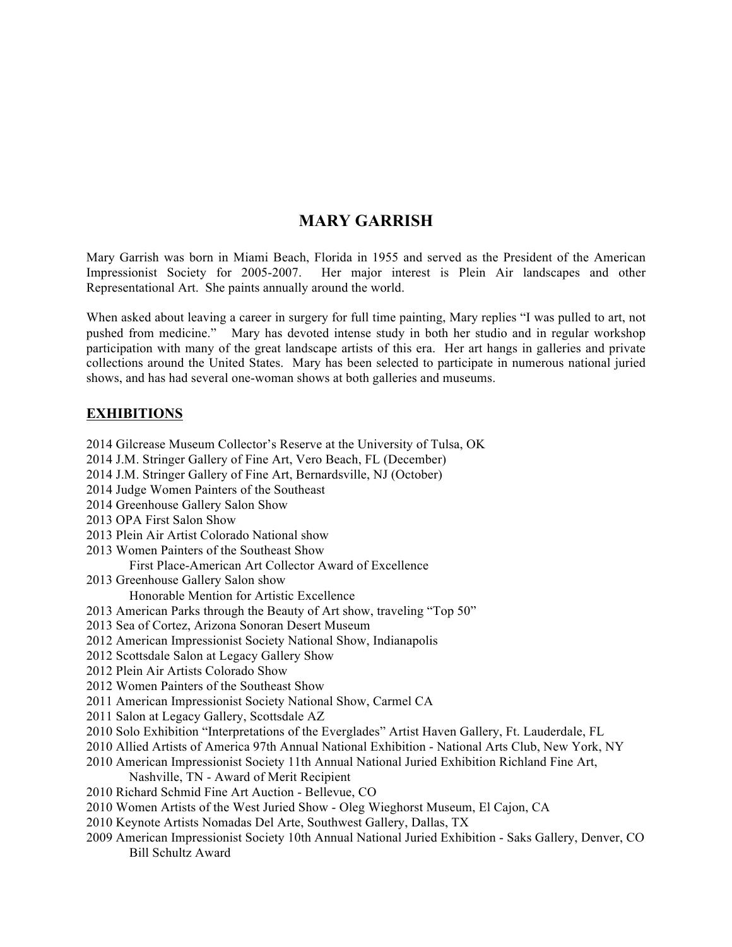# **MARY GARRISH**

Mary Garrish was born in Miami Beach, Florida in 1955 and served as the President of the American Impressionist Society for 2005-2007. Her major interest is Plein Air landscapes and other Representational Art. She paints annually around the world.

When asked about leaving a career in surgery for full time painting, Mary replies "I was pulled to art, not pushed from medicine." Mary has devoted intense study in both her studio and in regular workshop participation with many of the great landscape artists of this era. Her art hangs in galleries and private collections around the United States. Mary has been selected to participate in numerous national juried shows, and has had several one-woman shows at both galleries and museums.

## **EXHIBITIONS**

Bill Schultz Award

2014 Gilcrease Museum Collector's Reserve at the University of Tulsa, OK 2014 J.M. Stringer Gallery of Fine Art, Vero Beach, FL (December) 2014 J.M. Stringer Gallery of Fine Art, Bernardsville, NJ (October) 2014 Judge Women Painters of the Southeast 2014 Greenhouse Gallery Salon Show 2013 OPA First Salon Show 2013 Plein Air Artist Colorado National show 2013 Women Painters of the Southeast Show First Place-American Art Collector Award of Excellence 2013 Greenhouse Gallery Salon show Honorable Mention for Artistic Excellence 2013 American Parks through the Beauty of Art show, traveling "Top 50" 2013 Sea of Cortez, Arizona Sonoran Desert Museum 2012 American Impressionist Society National Show, Indianapolis 2012 Scottsdale Salon at Legacy Gallery Show 2012 Plein Air Artists Colorado Show 2012 Women Painters of the Southeast Show 2011 American Impressionist Society National Show, Carmel CA 2011 Salon at Legacy Gallery, Scottsdale AZ 2010 Solo Exhibition "Interpretations of the Everglades" Artist Haven Gallery, Ft. Lauderdale, FL 2010 Allied Artists of America 97th Annual National Exhibition - National Arts Club, New York, NY 2010 American Impressionist Society 11th Annual National Juried Exhibition Richland Fine Art, Nashville, TN - Award of Merit Recipient 2010 Richard Schmid Fine Art Auction - Bellevue, CO 2010 Women Artists of the West Juried Show - Oleg Wieghorst Museum, El Cajon, CA 2010 Keynote Artists Nomadas Del Arte, Southwest Gallery, Dallas, TX 2009 American Impressionist Society 10th Annual National Juried Exhibition - Saks Gallery, Denver, CO